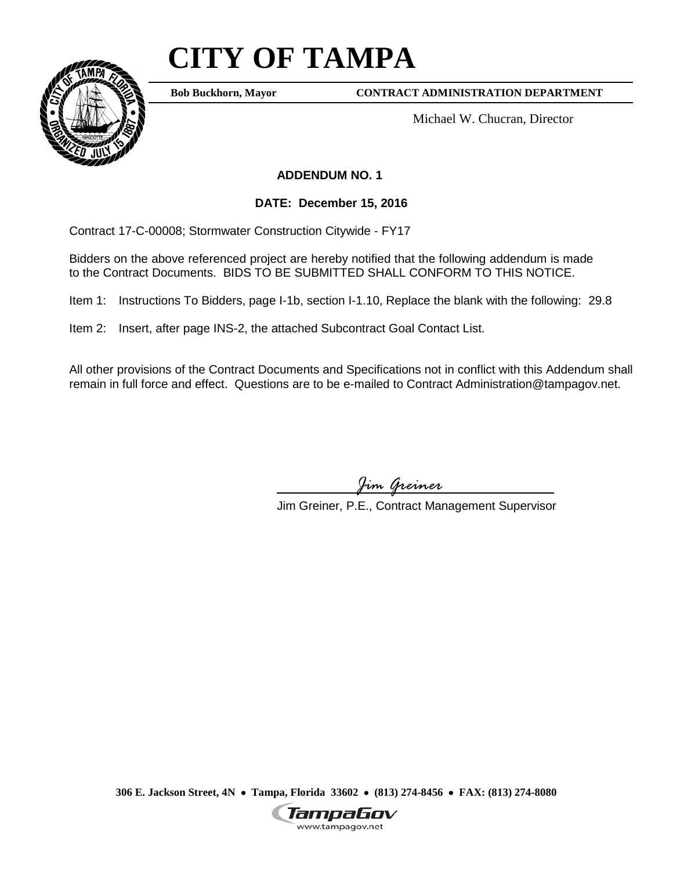# **CITY OF TAMPA**



**Bob Buckhorn, Mayor**

**CONTRACT ADMINISTRATION DEPARTMENT**

Michael W. Chucran, Director

**ADDENDUM NO. 1**

**DATE: December 15, 2016**

Contract 17-C-00008; Stormwater Construction Citywide - FY17

Bidders on the above referenced project are hereby notified that the following addendum is made to the Contract Documents. BIDS TO BE SUBMITTED SHALL CONFORM TO THIS NOTICE.

Item 1: Instructions To Bidders, page I-1b, section I-1.10, Replace the blank with the following: 29.8

Item 2: Insert, after page INS-2, the attached Subcontract Goal Contact List.

All other provisions of the Contract Documents and Specifications not in conflict with this Addendum shall remain in full force and effect. Questions are to be e-mailed to Contract Administration@tampagov.net.

*Jim Greiner*

Jim Greiner, P.E., Contract Management Supervisor

**306 E. Jackson Street, 4N** • **Tampa, Florida 33602** • **(813) 274-8456** • **FAX: (813) 274-8080**

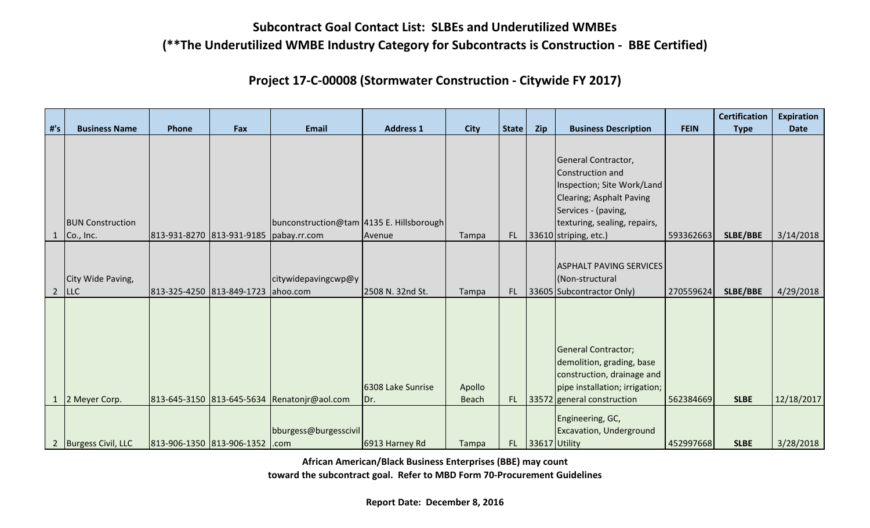**Project 17-C-00008 (Stormwater Construction - Citywide FY 2017)**

|                |                         |                                        |     |                                             |                   |              |              |                  |                                                                                                                          |             | <b>Certification</b> | <b>Expiration</b> |
|----------------|-------------------------|----------------------------------------|-----|---------------------------------------------|-------------------|--------------|--------------|------------------|--------------------------------------------------------------------------------------------------------------------------|-------------|----------------------|-------------------|
| $#^{\prime}S$  | <b>Business Name</b>    | Phone                                  | Fax | <b>Email</b>                                | <b>Address 1</b>  | <b>City</b>  | <b>State</b> | Zip              | <b>Business Description</b>                                                                                              | <b>FEIN</b> | <b>Type</b>          | <b>Date</b>       |
|                |                         |                                        |     |                                             |                   |              |              |                  | General Contractor,<br>Construction and<br>Inspection; Site Work/Land<br>Clearing; Asphalt Paving<br>Services - (paving, |             |                      |                   |
|                | <b>BUN Construction</b> |                                        |     | bunconstruction@tam 4135 E. Hillsborough    |                   |              |              |                  | texturing, sealing, repairs,                                                                                             |             |                      |                   |
|                | Co., Inc.               | 813-931-8270 813-931-9185 pabay.rr.com |     |                                             | Avenue            | Tampa        |              |                  | FL 33610 striping, etc.)                                                                                                 | 593362663   | SLBE/BBE             | 3/14/2018         |
|                | City Wide Paving,       |                                        |     | citywidepavingcwp@y                         |                   |              |              |                  | <b>ASPHALT PAVING SERVICES</b><br>(Non-structural                                                                        |             |                      |                   |
| $\overline{2}$ | <b>LLC</b>              | 813-325-4250 813-849-1723 ahoo.com     |     |                                             | 2508 N. 32nd St.  | Tampa        |              |                  | FL 33605 Subcontractor Only)                                                                                             | 270559624   | SLBE/BBE             | 4/29/2018         |
|                |                         |                                        |     |                                             | 6308 Lake Sunrise | Apollo       |              |                  | <b>General Contractor;</b><br>demolition, grading, base<br>construction, drainage and<br>pipe installation; irrigation;  |             |                      |                   |
|                | 2 Meyer Corp.           |                                        |     | 813-645-3150 813-645-5634 Renatonir@aol.com | Dr.               | <b>Beach</b> |              |                  | FL $ 33572 $ general construction                                                                                        | 562384669   | <b>SLBE</b>          | 12/18/2017        |
|                | 2 Burgess Civil, LLC    | 813-906-1350 813-906-1352 .com         |     | bburgess@burgesscivil                       | 6913 Harney Rd    | Tampa        |              | FL 33617 Utility | Engineering, GC,<br><b>Excavation, Underground</b>                                                                       | 452997668   | <b>SLBE</b>          | 3/28/2018         |

**African American/Black Business Enterprises (BBE) may count**

**toward the subcontract goal. Refer to MBD Form 70-Procurement Guidelines**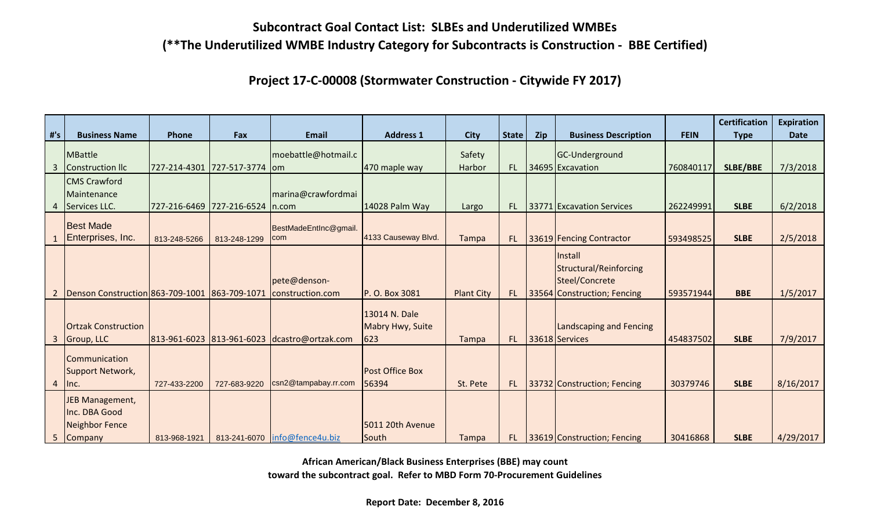**Project 17-C-00008 (Stormwater Construction - Citywide FY 2017)**

|                |                                                                 |                           |                                 |                                  |                                          |                   |              |     |                                                                                           |             | <b>Certification</b> | <b>Expiration</b> |
|----------------|-----------------------------------------------------------------|---------------------------|---------------------------------|----------------------------------|------------------------------------------|-------------------|--------------|-----|-------------------------------------------------------------------------------------------|-------------|----------------------|-------------------|
| #'s            | <b>Business Name</b>                                            | Phone                     | Fax                             | <b>Email</b>                     | <b>Address 1</b>                         | <b>City</b>       | <b>State</b> | Zip | <b>Business Description</b>                                                               | <b>FEIN</b> | <b>Type</b>          | <b>Date</b>       |
| 3              | MBattle<br>Construction IIc                                     | 727-214-4301 727-517-3774 |                                 | moebattle@hotmail.c<br>$I$ om    | 470 maple way                            | Safety<br>Harbor  | FL.          |     | GC-Underground<br>34695 Excavation                                                        | 760840117   | <b>SLBE/BBE</b>      | 7/3/2018          |
| 4              | <b>CMS</b> Crawford<br>Maintenance<br>Services LLC.             |                           | 727-216-6469 727-216-6524 n.com | marina@crawfordmai               | 14028 Palm Way                           |                   | FL.          |     | 33771 Excavation Services                                                                 | 262249991   | <b>SLBE</b>          | 6/2/2018          |
|                | <b>Best Made</b><br>Enterprises, Inc.                           | 813-248-5266              | 813-248-1299                    | BestMadeEntInc@gmail.<br>com     | 4133 Causeway Blvd.                      | Largo<br>Tampa    | FL.          |     | 33619 Fencing Contractor                                                                  | 593498525   | <b>SLBE</b>          | 2/5/2018          |
| $\overline{2}$ | Denson Construction 863-709-1001 863-709-1071                   |                           |                                 | pete@denson-<br>construction.com | P. O. Box 3081                           | <b>Plant City</b> | FL.          |     | Install<br><b>Structural/Reinforcing</b><br>Steel/Concrete<br>33564 Construction; Fencing | 593571944   | <b>BBE</b>           | 1/5/2017          |
| 3              | <b>Ortzak Construction</b><br>Group, LLC                        | 813-961-6023 813-961-6023 |                                 | dcastro@ortzak.com               | 13014 N. Dale<br>Mabry Hwy, Suite<br>623 | Tampa             | FL.          |     | <b>Landscaping and Fencing</b><br>33618 Services                                          | 454837502   | <b>SLBE</b>          | 7/9/2017          |
| 4              | Communication<br>Support Network,<br>$ $ lnc.                   | 727-433-2200              | 727-683-9220                    | csn2@tampabay.rr.com             | <b>Post Office Box</b><br>56394          | St. Pete          | FL.          |     | 33732 Construction; Fencing                                                               | 30379746    | <b>SLBE</b>          | 8/16/2017         |
|                | JEB Management,<br>Inc. DBA Good<br>Neighbor Fence<br>5 Company | 813-968-1921              |                                 | 813-241-6070   info@fence4u.biz  | 5011 20th Avenue<br>South                | Tampa             | FL.          |     | 33619 Construction; Fencing                                                               | 30416868    | <b>SLBE</b>          | 4/29/2017         |

**African American/Black Business Enterprises (BBE) may count**

**toward the subcontract goal. Refer to MBD Form 70-Procurement Guidelines**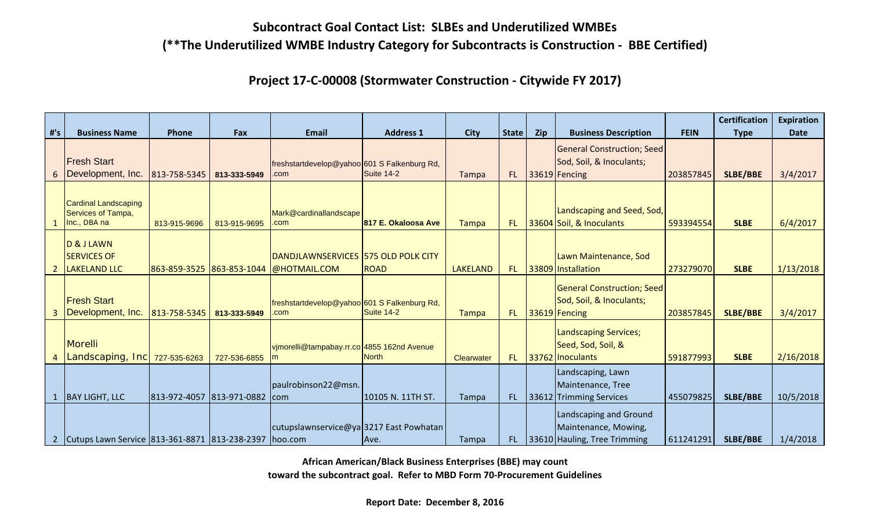**Project 17-C-00008 (Stormwater Construction - Citywide FY 2017)**

|     |                                                                   |                               |              |                                                                               |                     |                   |              |     |                                                                                |             | <b>Certification</b> | <b>Expiration</b> |
|-----|-------------------------------------------------------------------|-------------------------------|--------------|-------------------------------------------------------------------------------|---------------------|-------------------|--------------|-----|--------------------------------------------------------------------------------|-------------|----------------------|-------------------|
| #'s | <b>Business Name</b>                                              | Phone                         | Fax          | <b>Email</b>                                                                  | <b>Address 1</b>    | <b>City</b>       | <b>State</b> | Zip | <b>Business Description</b>                                                    | <b>FEIN</b> | <b>Type</b>          | <b>Date</b>       |
|     | <b>Fresh Start</b><br>6   Development, Inc.                       | 813-758-5345                  | 813-333-5949 | freshstartdevelop@yahoo 601 S Falkenburg Rd,<br>.com                          | Suite 14-2          | Tampa             | FL.          |     | General Construction; Seed<br>Sod, Soil, & Inoculants;<br>33619 Fencing        | 203857845   | <b>SLBE/BBE</b>      | 3/4/2017          |
|     | <b>Cardinal Landscaping</b><br>Services of Tampa,<br>Inc., DBA na | 813-915-9696                  | 813-915-9695 | Mark@cardinallandscape<br>.com                                                | 817 E. Okaloosa Ave | <b>Tampa</b>      | FL.          |     | Landscaping and Seed, Sod,<br>33604 Soil, & Inoculants                         | 593394554   | <b>SLBE</b>          | 6/4/2017          |
| 2   | D & J LAWN<br><b>SERVICES OF</b><br><b>LAKELAND LLC</b>           |                               |              | DANDJLAWNSERVICES 575 OLD POLK CITY<br>863-859-3525 863-853-1044 @HOTMAIL.COM | <b>ROAD</b>         | <b>LAKELAND</b>   | <b>AL</b>    |     | Lawn Maintenance, Sod<br>33809 Installation                                    | 273279070   | <b>SLBE</b>          | 1/13/2018         |
|     | <b>Fresh Start</b><br>Development, Inc. 813-758-5345              |                               | 813-333-5949 | freshstartdevelop@yahoo 601 S Falkenburg Rd,<br>.com                          | <b>Suite 14-2</b>   | <b>Tampa</b>      | FL           |     | General Construction; Seed<br>Sod, Soil, & Inoculants;<br>33619 Fencing        | 203857845   | <b>SLBE/BBE</b>      | 3/4/2017          |
|     | Morelli<br>Landscaping, Inc                                       | 727-535-6263                  | 727-536-6855 | vjmorelli@tampabay.rr.co 4855 162nd Avenue<br>m                               | North               | <b>Clearwater</b> | FL.          |     | Landscaping Services;<br>Seed, Sod, Soil, &<br>33762 Inoculants                | 591877993   | <b>SLBE</b>          | 2/16/2018         |
|     | <b>BAY LIGHT, LLC</b>                                             | 813-972-4057 813-971-0882 com |              | paulrobinson22@msn.                                                           | 10105 N. 11TH ST.   | Tampa             | FL.          |     | Landscaping, Lawn<br>Maintenance, Tree<br>33612 Trimming Services              | 455079825   | <b>SLBE/BBE</b>      | 10/5/2018         |
|     | 2   Cutups Lawn Service   813-361-8871   813-238-2397   hoo.com   |                               |              | cutupslawnservice@ya3217 East Powhatan                                        | IAve.               | Tampa             | FL.          |     | Landscaping and Ground<br>Maintenance, Mowing,<br>33610 Hauling, Tree Trimming | 611241291   | <b>SLBE/BBE</b>      | 1/4/2018          |

**African American/Black Business Enterprises (BBE) may count**

**toward the subcontract goal. Refer to MBD Form 70-Procurement Guidelines**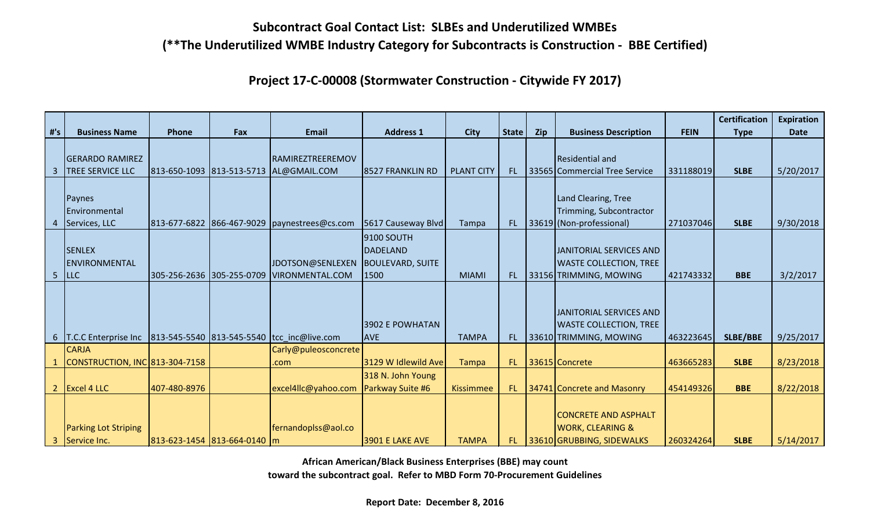**Project 17-C-00008 (Stormwater Construction - Citywide FY 2017)**

|                |                                |                           |                             |                                            |                         |                   |              |     |                               |             | <b>Certification</b> | <b>Expiration</b> |
|----------------|--------------------------------|---------------------------|-----------------------------|--------------------------------------------|-------------------------|-------------------|--------------|-----|-------------------------------|-------------|----------------------|-------------------|
| #'s            | <b>Business Name</b>           | <b>Phone</b>              | Fax                         | <b>Email</b>                               | <b>Address 1</b>        | <b>City</b>       | <b>State</b> | Zip | <b>Business Description</b>   | <b>FEIN</b> | <b>Type</b>          | <b>Date</b>       |
|                |                                |                           |                             |                                            |                         |                   |              |     |                               |             |                      |                   |
|                | <b>GERARDO RAMIREZ</b>         |                           |                             | RAMIREZTREEREMOV                           |                         |                   |              |     | Residential and               |             |                      |                   |
| 3              | <b>TREE SERVICE LLC</b>        | 813-650-1093 813-513-5713 |                             | AL@GMAIL.COM                               | 8527 FRANKLIN RD        | <b>PLANT CITY</b> | FL.          |     | 33565 Commercial Tree Service | 331188019   | <b>SLBE</b>          | 5/20/2017         |
|                |                                |                           |                             |                                            |                         |                   |              |     |                               |             |                      |                   |
|                | Paynes                         |                           |                             |                                            |                         |                   |              |     | Land Clearing, Tree           |             |                      |                   |
|                | Environmental                  |                           |                             |                                            |                         |                   |              |     | Trimming, Subcontractor       |             |                      |                   |
|                | Services, LLC                  | 813-677-6822 866-467-9029 |                             | paynestrees@cs.com                         | 5617 Causeway Blvd      | Tampa             | FL.          |     | 33619 (Non-professional)      | 271037046   | <b>SLBE</b>          | 9/30/2018         |
|                |                                |                           |                             |                                            | 9100 SOUTH              |                   |              |     |                               |             |                      |                   |
|                | <b>SENLEX</b>                  |                           |                             |                                            | DADELAND                |                   |              |     | JANITORIAL SERVICES AND       |             |                      |                   |
|                | <b>IENVIRONMENTAL</b>          |                           |                             | JDOTSON@SENLEXEN                           | <b>BOULEVARD, SUITE</b> |                   |              |     | <b>WASTE COLLECTION, TREE</b> |             |                      |                   |
| 5              | LLC                            | 305-256-2636 305-255-0709 |                             | <b>VIRONMENTAL.COM</b>                     | 1500                    | <b>MIAMI</b>      | FL.          |     | 33156 TRIMMING, MOWING        | 421743332   | <b>BBE</b>           | 3/2/2017          |
|                |                                |                           |                             |                                            |                         |                   |              |     |                               |             |                      |                   |
|                |                                |                           |                             |                                            |                         |                   |              |     |                               |             |                      |                   |
|                |                                |                           |                             |                                            |                         |                   |              |     | JANITORIAL SERVICES AND       |             |                      |                   |
|                |                                |                           |                             |                                            | 3902 E POWHATAN         |                   |              |     | <b>WASTE COLLECTION, TREE</b> |             |                      |                   |
|                | 6   T.C.C Enterprise Inc       |                           |                             | 813-545-5540 813-545-5540 tcc inc@live.com | <b>AVE</b>              | <b>TAMPA</b>      | FL.          |     | 33610 TRIMMING, MOWING        | 463223645   | <b>SLBE/BBE</b>      | 9/25/2017         |
|                | <b>CARJA</b>                   |                           |                             | Carly@puleosconcrete                       |                         |                   |              |     |                               |             |                      |                   |
|                | CONSTRUCTION, INC 813-304-7158 |                           |                             | .com                                       | 3129 W Idlewild Ave     | <b>Tampa</b>      | FL.          |     | 33615 Concrete                | 463665283   | <b>SLBE</b>          | 8/23/2018         |
|                |                                |                           |                             |                                            | 318 N. John Young       |                   |              |     |                               |             |                      |                   |
| $\overline{2}$ | Excel 4 LLC                    | 407-480-8976              |                             | excel4llc@yahoo.com                        | <b>Parkway Suite #6</b> | <b>Kissimmee</b>  | FL.          |     | 34741 Concrete and Masonry    | 454149326   | <b>BBE</b>           | 8/22/2018         |
|                |                                |                           |                             |                                            |                         |                   |              |     |                               |             |                      |                   |
|                |                                |                           |                             |                                            |                         |                   |              |     | <b>CONCRETE AND ASPHALT</b>   |             |                      |                   |
|                | <b>Parking Lot Striping</b>    |                           |                             | fernandoplss@aol.co                        |                         |                   |              |     | <b>WORK, CLEARING &amp;</b>   |             |                      |                   |
| 3              | Service Inc.                   |                           | 813-623-1454 813-664-0140 m |                                            | <b>3901 E LAKE AVE</b>  | <b>TAMPA</b>      | FL.          |     | 33610 GRUBBING, SIDEWALKS     | 260324264   | <b>SLBE</b>          | 5/14/2017         |

**African American/Black Business Enterprises (BBE) may count**

**toward the subcontract goal. Refer to MBD Form 70-Procurement Guidelines**